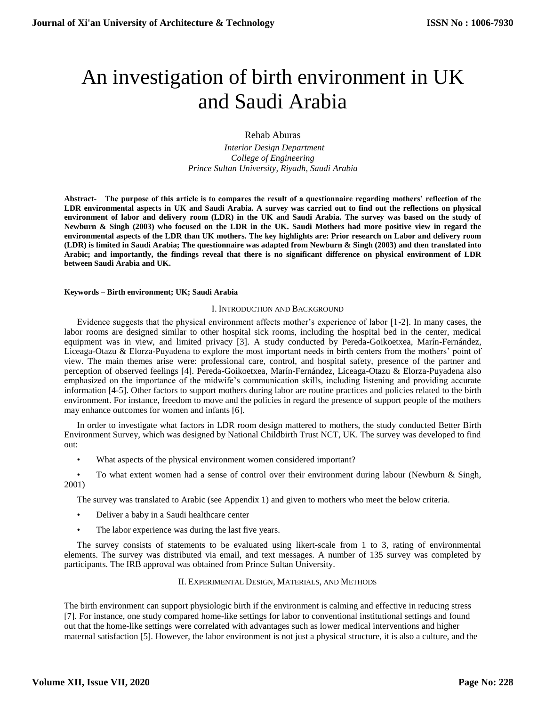# An investigation of birth environment in UK and Saudi Arabia

Rehab Aburas

 *Interior Design Department College of Engineering Prince Sultan University, Riyadh, Saudi Arabia*

**Abstract- The purpose of this article is to compares the result of a questionnaire regarding mothers' reflection of the LDR environmental aspects in UK and Saudi Arabia. A survey was carried out to find out the reflections on physical environment of labor and delivery room (LDR) in the UK and Saudi Arabia. The survey was based on the study of Newburn & Singh (2003) who focused on the LDR in the UK. Saudi Mothers had more positive view in regard the environmental aspects of the LDR than UK mothers. The key highlights are: Prior research on Labor and delivery room (LDR) is limited in Saudi Arabia; The questionnaire was adapted from Newburn & Singh (2003) and then translated into Arabic; and importantly, the findings reveal that there is no significant difference on physical environment of LDR between Saudi Arabia and UK.**

**Keywords – Birth environment; UK; Saudi Arabia**

### I. INTRODUCTION AND BACKGROUND

Evidence suggests that the physical environment affects mother's experience of labor [1-2]. In many cases, the labor rooms are designed similar to other hospital sick rooms, including the hospital bed in the center, medical equipment was in view, and limited privacy [3]. A study conducted by Pereda-Goikoetxea, Marín-Fernández, Liceaga-Otazu & Elorza-Puyadena to explore the most important needs in birth centers from the mothers' point of view. The main themes arise were: professional care, control, and hospital safety, presence of the partner and perception of observed feelings [4]. Pereda-Goikoetxea, Marín-Fernández, Liceaga-Otazu & Elorza-Puyadena also emphasized on the importance of the midwife's communication skills, including listening and providing accurate information [4-5]. Other factors to support mothers during labor are routine practices and policies related to the birth environment. For instance, freedom to move and the policies in regard the presence of support people of the mothers may enhance outcomes for women and infants [6].

In order to investigate what factors in LDR room design mattered to mothers, the study conducted Better Birth Environment Survey, which was designed by National Childbirth Trust NCT, UK. The survey was developed to find out:

• What aspects of the physical environment women considered important?

• To what extent women had a sense of control over their environment during labour (Newburn & Singh, 2001)

The survey was translated to Arabic (see Appendix 1) and given to mothers who meet the below criteria.

- Deliver a baby in a Saudi healthcare center
- The labor experience was during the last five years.

The survey consists of statements to be evaluated using likert-scale from 1 to 3, rating of environmental elements. The survey was distributed via email, and text messages. A number of 135 survey was completed by participants. The IRB approval was obtained from Prince Sultan University.

### II. EXPERIMENTAL DESIGN, MATERIALS, AND METHODS

The birth environment can support physiologic birth if the environment is calming and effective in reducing stress [7]. For instance, one study compared home-like settings for labor to conventional institutional settings and found out that the home-like settings were correlated with advantages such as lower medical interventions and higher maternal satisfaction [5]. However, the labor environment is not just a physical structure, it is also a culture, and the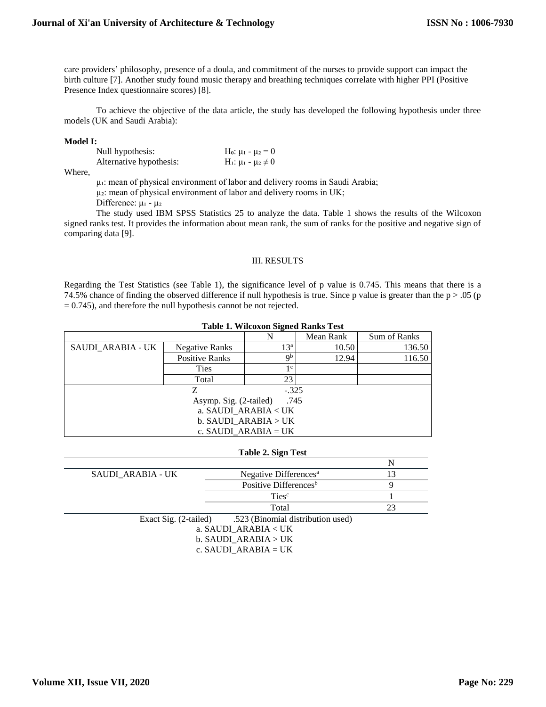care providers' philosophy, presence of a doula, and commitment of the nurses to provide support can impact the birth culture [7]. Another study found music therapy and breathing techniques correlate with higher PPI (Positive Presence Index questionnaire scores) [8].

To achieve the objective of the data article, the study has developed the following hypothesis under three models (UK and Saudi Arabia):

#### **Model I:**

| Null hypothesis:        | H <sub>0</sub> : $\mu_1 - \mu_2 = 0$                      |
|-------------------------|-----------------------------------------------------------|
| Alternative hypothesis: | H <sub>1</sub> : μ <sub>1</sub> - μ <sub>2</sub> $\neq$ 0 |

Where,

μ₁: mean of physical environment of labor and delivery rooms in Saudi Arabia;

 $\mu$ 2: mean of physical environment of labor and delivery rooms in UK;

Difference: μι - μ<sub>2</sub>

The study used IBM SPSS Statistics 25 to analyze the data. Table 1 shows the results of the Wilcoxon signed ranks test. It provides the information about mean rank, the sum of ranks for the positive and negative sign of comparing data [9].

### III. RESULTS

Regarding the Test Statistics (see Table 1), the significance level of p value is 0.745. This means that there is a 74.5% chance of finding the observed difference if null hypothesis is true. Since p value is greater than the  $p > .05$  (p = 0.745), and therefore the null hypothesis cannot be not rejected.

| <b>Table 1. Wilcoxon Signed Ranks Test</b> |                       |                           |           |              |  |  |
|--------------------------------------------|-----------------------|---------------------------|-----------|--------------|--|--|
|                                            |                       | N                         | Mean Rank | Sum of Ranks |  |  |
| SAUDI ARABIA - UK                          | Negative Ranks        | $13^{\rm a}$              | 10.50     | 136.50       |  |  |
|                                            | <b>Positive Ranks</b> | $\mathbf{Q}^{\mathbf{b}}$ | 12.94     | 116.50       |  |  |
|                                            | <b>Ties</b>           | 1 c                       |           |              |  |  |
|                                            | Total                 | 23                        |           |              |  |  |
| Z<br>$-.325$                               |                       |                           |           |              |  |  |
| .745<br>Asymp. Sig. (2-tailed)             |                       |                           |           |              |  |  |
| a. SAUDI ARABIA < UK                       |                       |                           |           |              |  |  |
| b. SAUDI_ARABIA > UK                       |                       |                           |           |              |  |  |
| c. SAUDI ARABIA = UK                       |                       |                           |           |              |  |  |

#### **Table 2. Sign Test**

 $\overline{N}$ 

| SAUDI ARABIA - UK                                       | Negative Differences <sup>a</sup> | 13 |  |  |
|---------------------------------------------------------|-----------------------------------|----|--|--|
|                                                         | Positive Differences <sup>b</sup> | Q  |  |  |
|                                                         | Ties <sup>c</sup>                 |    |  |  |
|                                                         | Total                             | 23 |  |  |
| Exact Sig. (2-tailed) .523 (Binomial distribution used) |                                   |    |  |  |
| a. SAUDI ARABIA < UK                                    |                                   |    |  |  |
| b. SAUDI ARABIA > UK                                    |                                   |    |  |  |
| c. SAUDI ARABIA = UK                                    |                                   |    |  |  |
|                                                         |                                   |    |  |  |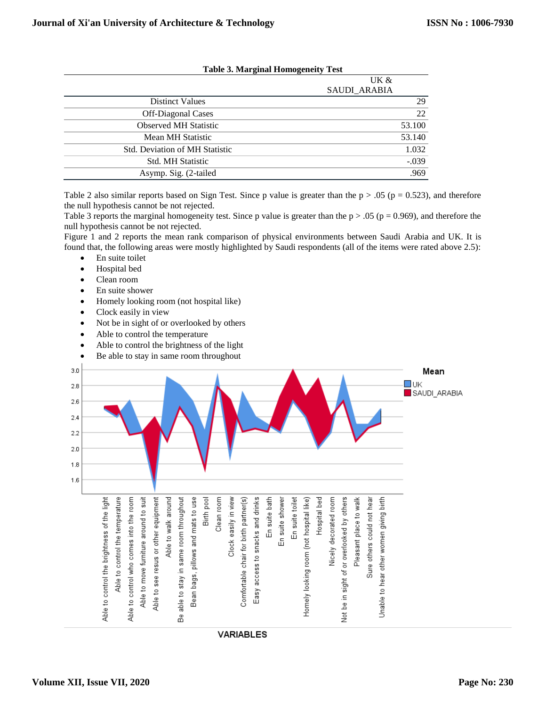|                                       | UK &                |  |
|---------------------------------------|---------------------|--|
|                                       | <b>SAUDI ARABIA</b> |  |
| <b>Distinct Values</b>                | 29                  |  |
| <b>Off-Diagonal Cases</b>             | 22                  |  |
| <b>Observed MH Statistic</b>          | 53.100              |  |
| Mean MH Statistic                     | 53.140              |  |
| <b>Std. Deviation of MH Statistic</b> | 1.032               |  |
| <b>Std. MH Statistic</b>              | $-.039$             |  |
| Asymp. Sig. (2-tailed                 | .969                |  |

## **Table 3. Marginal Homogeneity Test**

Table 2 also similar reports based on Sign Test. Since p value is greater than the  $p > .05$  ( $p = 0.523$ ), and therefore the null hypothesis cannot be not rejected.

Table 3 reports the marginal homogeneity test. Since p value is greater than the  $p > .05$  ( $p = 0.969$ ), and therefore the null hypothesis cannot be not rejected.

Figure 1 and 2 reports the mean rank comparison of physical environments between Saudi Arabia and UK. It is found that, the following areas were mostly highlighted by Saudi respondents (all of the items were rated above 2.5):

- En suite toilet
- Hospital bed
- Clean room
- En suite shower
- Homely looking room (not hospital like)
- Clock easily in view
- Not be in sight of or overlooked by others
- Able to control the temperature
- Able to control the brightness of the light
- Be able to stay in same room throughout

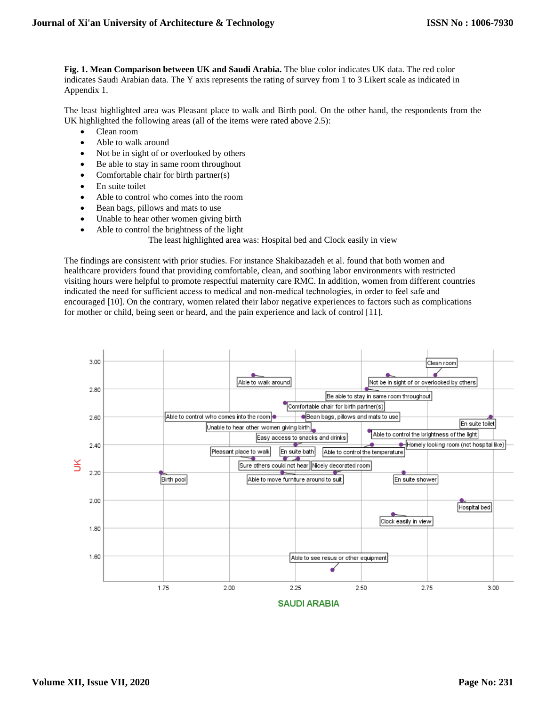**Fig. 1. Mean Comparison between UK and Saudi Arabia.** The blue color indicates UK data. The red color indicates Saudi Arabian data. The Y axis represents the rating of survey from 1 to 3 Likert scale as indicated in Appendix 1.

The least highlighted area was Pleasant place to walk and Birth pool. On the other hand, the respondents from the UK highlighted the following areas (all of the items were rated above 2.5):

- Clean room
- Able to walk around
- Not be in sight of or overlooked by others
- Be able to stay in same room throughout
- Comfortable chair for birth partner(s)
- En suite toilet
- Able to control who comes into the room
- Bean bags, pillows and mats to use
- Unable to hear other women giving birth
- Able to control the brightness of the light
	- The least highlighted area was: Hospital bed and Clock easily in view

The findings are consistent with prior studies. For instance Shakibazadeh et al. found that both women and healthcare providers found that providing comfortable, clean, and soothing labor environments with restricted visiting hours were helpful to promote respectful maternity care RMC. In addition, women from different countries indicated the need for sufficient access to medical and non‐medical technologies, in order to feel safe and encouraged [10]. On the contrary, women related their labor negative experiences to factors such as complications for mother or child, being seen or heard, and the pain experience and lack of control [11].



**SAUDI ARABIA**